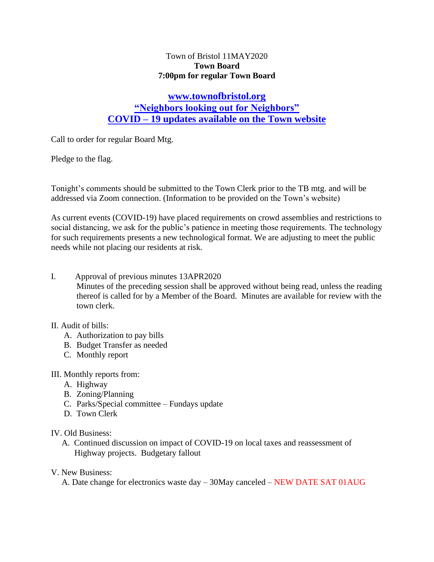### Town of Bristol 11MAY2020 **Town Board 7:00pm for regular Town Board**

# **[www.townofbristol.org](http://www.townofbristol.org/) "Neighbors looking out for Neighbors" COVID – 19 updates available on the Town website**

Call to order for regular Board Mtg.

Pledge to the flag.

Tonight's comments should be submitted to the Town Clerk prior to the TB mtg. and will be addressed via Zoom connection. (Information to be provided on the Town's website)

As current events (COVID-19) have placed requirements on crowd assemblies and restrictions to social distancing, we ask for the public's patience in meeting those requirements. The technology for such requirements presents a new technological format. We are adjusting to meet the public needs while not placing our residents at risk.

I. Approval of previous minutes 13APR2020

Minutes of the preceding session shall be approved without being read, unless the reading thereof is called for by a Member of the Board. Minutes are available for review with the town clerk.

#### II. Audit of bills:

- A. Authorization to pay bills
- B. Budget Transfer as needed
- C. Monthly report
- III. Monthly reports from:
	- A. Highway
	- B. Zoning/Planning
	- C. Parks/Special committee Fundays update
	- D. Town Clerk

#### IV. Old Business:

 A. Continued discussion on impact of COVID-19 on local taxes and reassessment of Highway projects. Budgetary fallout

#### V. New Business:

A. Date change for electronics waste day – 30May canceled – NEW DATE SAT 01AUG